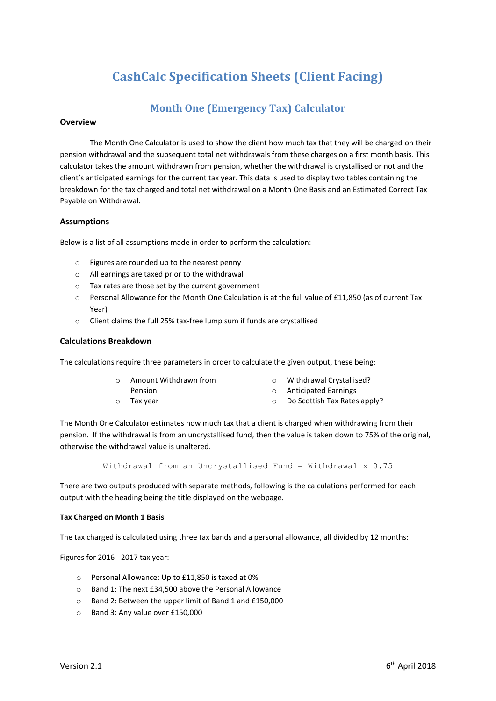# **CashCalc Specification Sheets (Client Facing)**

# **Month One (Emergency Tax) Calculator**

# **Overview**

The Month One Calculator is used to show the client how much tax that they will be charged on their pension withdrawal and the subsequent total net withdrawals from these charges on a first month basis. This calculator takes the amount withdrawn from pension, whether the withdrawal is crystallised or not and the client's anticipated earnings for the current tax year. This data is used to display two tables containing the breakdown for the tax charged and total net withdrawal on a Month One Basis and an Estimated Correct Tax Payable on Withdrawal.

# **Assumptions**

Below is a list of all assumptions made in order to perform the calculation:

- o Figures are rounded up to the nearest penny
- o All earnings are taxed prior to the withdrawal
- o Tax rates are those set by the current government
- o Personal Allowance for the Month One Calculation is at the full value of £11,850 (as of current Tax Year)
- o Client claims the full 25% tax-free lump sum if funds are crystallised

# **Calculations Breakdown**

The calculations require three parameters in order to calculate the given output, these being:

| $\circ$ | Amount Withdrawn from |  |
|---------|-----------------------|--|
|         |                       |  |

- Withdrawal Crystallised? o Anticipated Earnings
- Pension o Tax year o Do Scottish Tax Rates apply?

The Month One Calculator estimates how much tax that a client is charged when withdrawing from their pension. If the withdrawal is from an uncrystallised fund, then the value is taken down to 75% of the original, otherwise the withdrawal value is unaltered.

Withdrawal from an Uncrystallised Fund = Withdrawal x 0.75

There are two outputs produced with separate methods, following is the calculations performed for each output with the heading being the title displayed on the webpage.

# **Tax Charged on Month 1 Basis**

The tax charged is calculated using three tax bands and a personal allowance, all divided by 12 months:

Figures for 2016 - 2017 tax year:

- o Personal Allowance: Up to £11,850 is taxed at 0%
- o Band 1: The next £34,500 above the Personal Allowance
- o Band 2: Between the upper limit of Band 1 and £150,000
- o Band 3: Any value over £150,000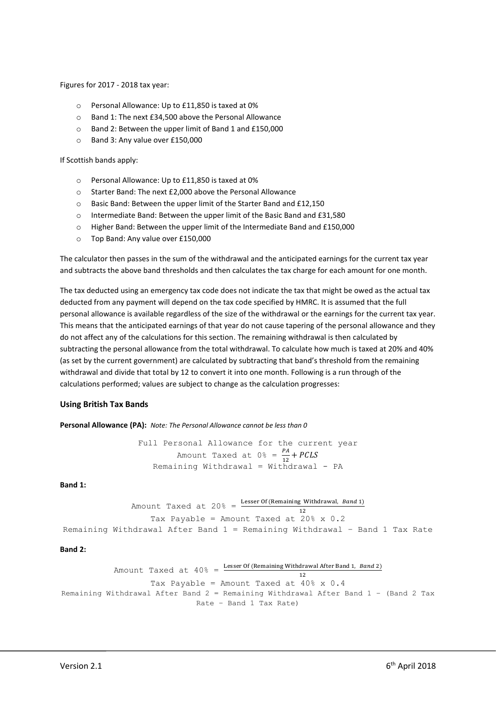Figures for 2017 - 2018 tax year:

- o Personal Allowance: Up to £11,850 is taxed at 0%
- o Band 1: The next £34,500 above the Personal Allowance
- o Band 2: Between the upper limit of Band 1 and £150,000
- o Band 3: Any value over £150,000

If Scottish bands apply:

- o Personal Allowance: Up to £11,850 is taxed at 0%
- o Starter Band: The next £2,000 above the Personal Allowance
- o Basic Band: Between the upper limit of the Starter Band and £12,150
- o Intermediate Band: Between the upper limit of the Basic Band and £31,580
- o Higher Band: Between the upper limit of the Intermediate Band and £150,000
- o Top Band: Any value over £150,000

The calculator then passes in the sum of the withdrawal and the anticipated earnings for the current tax year and subtracts the above band thresholds and then calculates the tax charge for each amount for one month.

The tax deducted using an emergency tax code does not indicate the tax that might be owed as the actual tax deducted from any payment will depend on the tax code specified by HMRC. It is assumed that the full personal allowance is available regardless of the size of the withdrawal or the earnings for the current tax year. This means that the anticipated earnings of that year do not cause tapering of the personal allowance and they do not affect any of the calculations for this section. The remaining withdrawal is then calculated by subtracting the personal allowance from the total withdrawal. To calculate how much is taxed at 20% and 40% (as set by the current government) are calculated by subtracting that band's threshold from the remaining withdrawal and divide that total by 12 to convert it into one month. Following is a run through of the calculations performed; values are subject to change as the calculation progresses:

# **Using British Tax Bands**

**Personal Allowance (PA):** *Note: The Personal Allowance cannot be less than 0*

Full Personal Allowance for the current year Amount Taxed at  $0 \frac{e}{12} = \frac{PA}{12} + PCLS$ Remaining Withdrawal = Withdrawal -  $PA$ 

#### **Band 1:**

```
Amount Taxed at 20% = \frac{\text{Lesser Of (Remaining Withdrawal, Band 1)}}{12}12
                      Tax Payable = Amount Taxed at 20\frac{8}{3} \times 0.2Remaining Withdrawal After Band 1 = Remaining Withdrawal – Band 1 Tax Rate
```
#### **Band 2:**

```
Amount Taxed at 40\% = \frac{\text{Lesser Of (Remaining Withdrawal After Band 1, Band 2)}}{12}Tax Payable = Amount Taxed at 40\% \times 0.4Remaining Withdrawal After Band 2 = Remaining Withdrawal After Band 1 – (Band 2 Tax 
                                  Rate – Band 1 Tax Rate)
```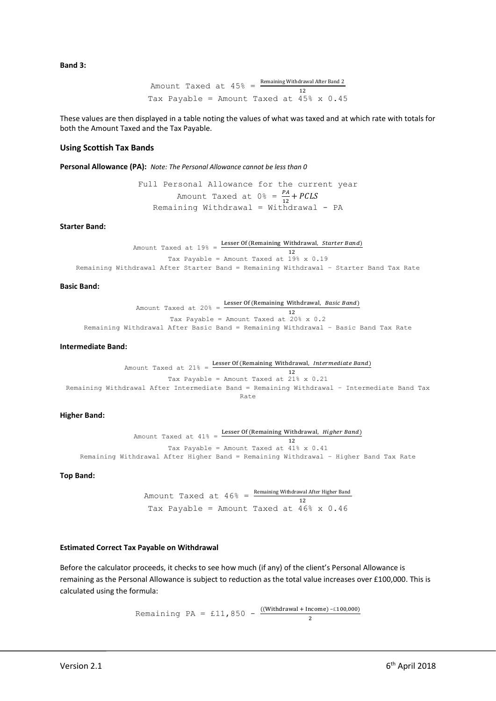**Band 3:**

Amount Taxed at 
$$
45\% = \frac{\text{Remaining Withdrawal After Band 2}}{12}
$$
  
Tax Payable = Amount Taxed at  $45\% \times 0.45$ 

These values are then displayed in a table noting the values of what was taxed and at which rate with totals for both the Amount Taxed and the Tax Payable.

#### **Using Scottish Tax Bands**

**Personal Allowance (PA):** *Note: The Personal Allowance cannot be less than 0*

Full Personal Allowance for the current year Amount Taxed at  $0 \frac{e}{12} = \frac{PA}{12} + PCLS$ Remaining Withdrawal = Withdrawal -  $PA$ 

**Starter Band:**

Amount Taxed at  $19\% =$  Lesser Of (Remaining Withdrawal, *Starter Band*) 12 Tax Payable = Amount Taxed at 19% x 0.19 Remaining Withdrawal After Starter Band = Remaining Withdrawal – Starter Band Tax Rate

#### **Basic Band:**

Amount Taxed at 20% =  $\frac{\text{Lesser Of (Remaining Withdrawal, Basic Band)}}{\sqrt{2}}$ 12 Tax Payable = Amount Taxed at 20% x 0.2 Remaining Withdrawal After Basic Band = Remaining Withdrawal – Basic Band Tax Rate

#### **Intermediate Band:**

Amount Taxed at  $21\% =$  Lesser Of (Remaining Withdrawal, Intermediate Band) 12 Tax Payable = Amount Taxed at  $21\% \times 0.21$ Remaining Withdrawal After Intermediate Band = Remaining Withdrawal – Intermediate Band Tax Rate

#### **Higher Band:**

Amount Taxed at  $41\% =$  Lesser Of (Remaining Withdrawal, *Higher Band*) 12 Tax Payable = Amount Taxed at 41% x 0.41 Remaining Withdrawal After Higher Band = Remaining Withdrawal – Higher Band Tax Rate

#### **Top Band:**

Amount Taxed at  $46\% = \frac{\text{Remaining Without After Higher Band}}{12}$ Tax Payable = Amount Taxed at  $46\% \times 0.46$ 

#### **Estimated Correct Tax Payable on Withdrawal**

Before the calculator proceeds, it checks to see how much (if any) of the client's Personal Allowance is remaining as the Personal Allowance is subject to reduction as the total value increases over £100,000. This is calculated using the formula:

> Remaining PA = £11,850 -  $\frac{((Without + Income) - £100,000)}{2}$ 2